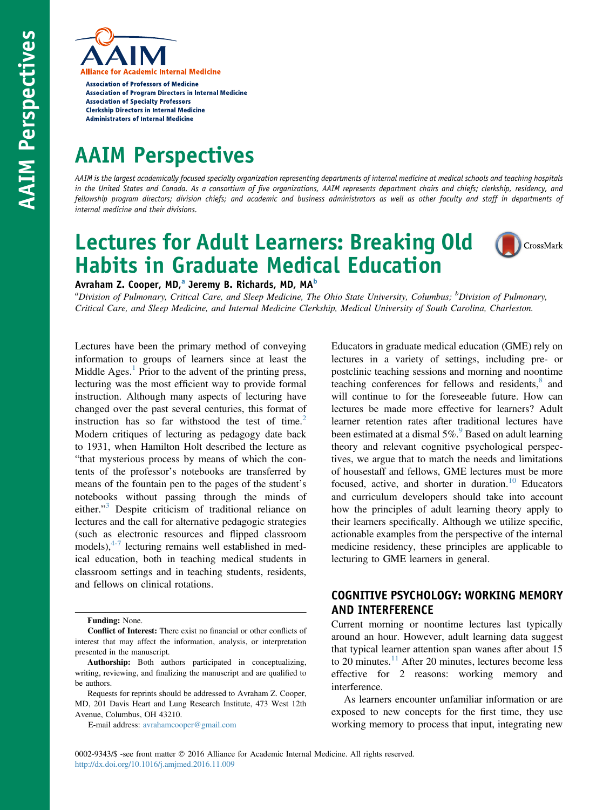

**Association of Professors of Medicine Association of Program Directors in Internal Medicine Association of Specialty Professors Clerkship Directors in Internal Medicine Administrators of Internal Medicine** 

# AAIM Perspectives

AAIM is the largest academically focused specialty organization representing departments of internal medicine at medical schools and teaching hospitals in the United States and Canada. As a consortium of five organizations, AAIM represents department chairs and chiefs; clerkship, residency, and fellowship program directors; division chiefs; and academic and business administrators as well as other faculty and staff in departments of internal medicine and their divisions.

## Lectures for Adult Learners: Breaking Old Habits in Graduate Medical Education



Avraham Z. Cooper, MD,<sup>a</sup> Jeremy B. Richards, MD, MA<sup>b</sup>

<sup>a</sup>Division of Pulmonary, Critical Care, and Sleep Medicine, The Ohio State University, Columbus; <sup>b</sup>Division of Pulmonary, Critical Care, and Sleep Medicine, and Internal Medicine Clerkship, Medical University of South Carolina, Charleston.

Lectures have been the primary method of conveying information to groups of learners since at least the Middle Ages. $<sup>1</sup>$  $<sup>1</sup>$  $<sup>1</sup>$  Prior to the advent of the printing press,</sup> lecturing was the most efficient way to provide formal instruction. Although many aspects of lecturing have changed over the past several centuries, this format of instruction has so far withstood the test of time. $2$ Modern critiques of lecturing as pedagogy date back to 1931, when Hamilton Holt described the lecture as "that mysterious process by means of which the contents of the professor's notebooks are transferred by means of the fountain pen to the pages of the student's notebooks without passing through the minds of either."<sup>[3](#page-4-0)</sup> Despite criticism of traditional reliance on lectures and the call for alternative pedagogic strategies (such as electronic resources and flipped classroom models), $4\frac{4}{7}$  lecturing remains well established in medical education, both in teaching medical students in classroom settings and in teaching students, residents, and fellows on clinical rotations.

E-mail address: [avrahamcooper@gmail.com](mailto:avrahamcooper@gmail.com)

Educators in graduate medical education (GME) rely on lectures in a variety of settings, including pre- or postclinic teaching sessions and morning and noontime teaching conferences for fellows and residents,<sup>[8](#page-4-0)</sup> and will continue to for the foreseeable future. How can lectures be made more effective for learners? Adult learner retention rates after traditional lectures have been estimated at a dismal  $5\%$ . Based on adult learning theory and relevant cognitive psychological perspectives, we argue that to match the needs and limitations of housestaff and fellows, GME lectures must be more focused, active, and shorter in duration.<sup>[10](#page-4-0)</sup> Educators and curriculum developers should take into account how the principles of adult learning theory apply to their learners specifically. Although we utilize specific, actionable examples from the perspective of the internal medicine residency, these principles are applicable to lecturing to GME learners in general.

## COGNITIVE PSYCHOLOGY: WORKING MEMORY AND INTERFERENCE

Current morning or noontime lectures last typically around an hour. However, adult learning data suggest that typical learner attention span wanes after about 15 to 20 minutes. $11$  After 20 minutes, lectures become less effective for 2 reasons: working memory and interference.

As learners encounter unfamiliar information or are exposed to new concepts for the first time, they use working memory to process that input, integrating new

Funding: None.

Conflict of Interest: There exist no financial or other conflicts of interest that may affect the information, analysis, or interpretation presented in the manuscript.

Authorship: Both authors participated in conceptualizing, writing, reviewing, and finalizing the manuscript and are qualified to be authors.

Requests for reprints should be addressed to Avraham Z. Cooper, MD, 201 Davis Heart and Lung Research Institute, 473 West 12th Avenue, Columbus, OH 43210.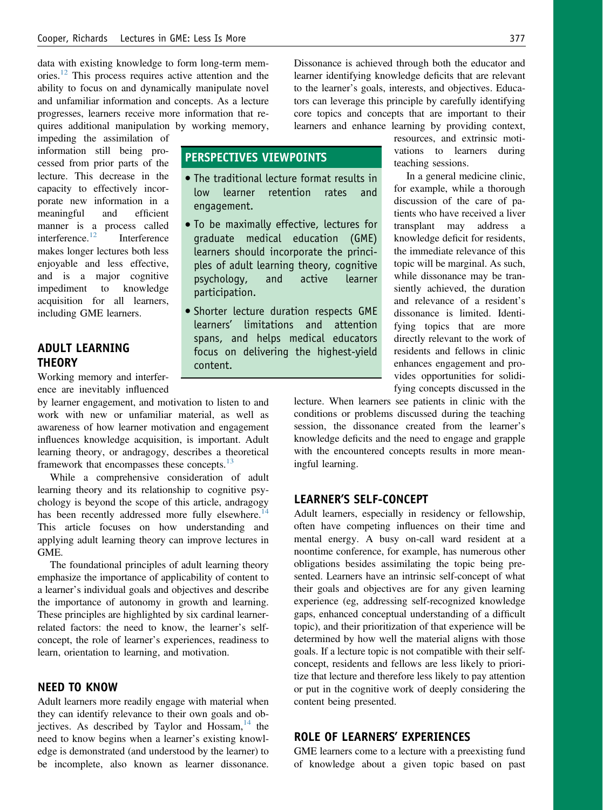data with existing knowledge to form long-term memories.[12](#page-4-0) This process requires active attention and the ability to focus on and dynamically manipulate novel and unfamiliar information and concepts. As a lecture progresses, learners receive more information that requires additional manipulation by working memory,

impeding the assimilation of information still being processed from prior parts of the lecture. This decrease in the capacity to effectively incorporate new information in a meaningful and efficient manner is a process called interference.[12](#page-4-0) Interference makes longer lectures both less enjoyable and less effective, and is a major cognitive impediment to knowledge acquisition for all learners, including GME learners.

## ADULT LEARNING **THEORY**

Working memory and interference are inevitably influenced

by learner engagement, and motivation to listen to and work with new or unfamiliar material, as well as awareness of how learner motivation and engagement influences knowledge acquisition, is important. Adult learning theory, or andragogy, describes a theoretical framework that encompasses these concepts.<sup>[13](#page-4-0)</sup>

While a comprehensive consideration of adult learning theory and its relationship to cognitive psychology is beyond the scope of this article, andragogy has been recently addressed more fully elsewhere.<sup>[14](#page-4-0)</sup> This article focuses on how understanding and applying adult learning theory can improve lectures in GME.

The foundational principles of adult learning theory emphasize the importance of applicability of content to a learner's individual goals and objectives and describe the importance of autonomy in growth and learning. These principles are highlighted by six cardinal learnerrelated factors: the need to know, the learner's selfconcept, the role of learner's experiences, readiness to learn, orientation to learning, and motivation.

## NEED TO KNOW

Adult learners more readily engage with material when they can identify relevance to their own goals and objectives. As described by Taylor and  $H$ ossam,<sup>[14](#page-4-0)</sup> the need to know begins when a learner's existing knowledge is demonstrated (and understood by the learner) to be incomplete, also known as learner dissonance.

Dissonance is achieved through both the educator and learner identifying knowledge deficits that are relevant to the learner's goals, interests, and objectives. Educators can leverage this principle by carefully identifying core topics and concepts that are important to their learners and enhance learning by providing context,

## PERSPECTIVES VIEWPOINTS

- The traditional lecture format results in retention rates engagement.
- To be maximally effective, lectures for graduate medical education (GME) learners should incorporate the principles of adult learning theory, cognitive psychology, and active learner participation.
- **Shorter lecture duration respects GME** learners' limitations and attention spans, and helps medical educators focus on delivering the highest-yield content.

resources, and extrinsic motivations to learners during teaching sessions.

In a general medicine clinic, for example, while a thorough discussion of the care of patients who have received a liver transplant may address a knowledge deficit for residents, the immediate relevance of this topic will be marginal. As such, while dissonance may be transiently achieved, the duration and relevance of a resident's dissonance is limited. Identifying topics that are more directly relevant to the work of residents and fellows in clinic enhances engagement and provides opportunities for solidifying concepts discussed in the

lecture. When learners see patients in clinic with the conditions or problems discussed during the teaching session, the dissonance created from the learner's knowledge deficits and the need to engage and grapple with the encountered concepts results in more meaningful learning.

#### LEARNER'S SELF-CONCEPT

Adult learners, especially in residency or fellowship, often have competing influences on their time and mental energy. A busy on-call ward resident at a noontime conference, for example, has numerous other obligations besides assimilating the topic being presented. Learners have an intrinsic self-concept of what their goals and objectives are for any given learning experience (eg, addressing self-recognized knowledge gaps, enhanced conceptual understanding of a difficult topic), and their prioritization of that experience will be determined by how well the material aligns with those goals. If a lecture topic is not compatible with their selfconcept, residents and fellows are less likely to prioritize that lecture and therefore less likely to pay attention or put in the cognitive work of deeply considering the content being presented.

#### ROLE OF LEARNERS' EXPERIENCES

GME learners come to a lecture with a preexisting fund of knowledge about a given topic based on past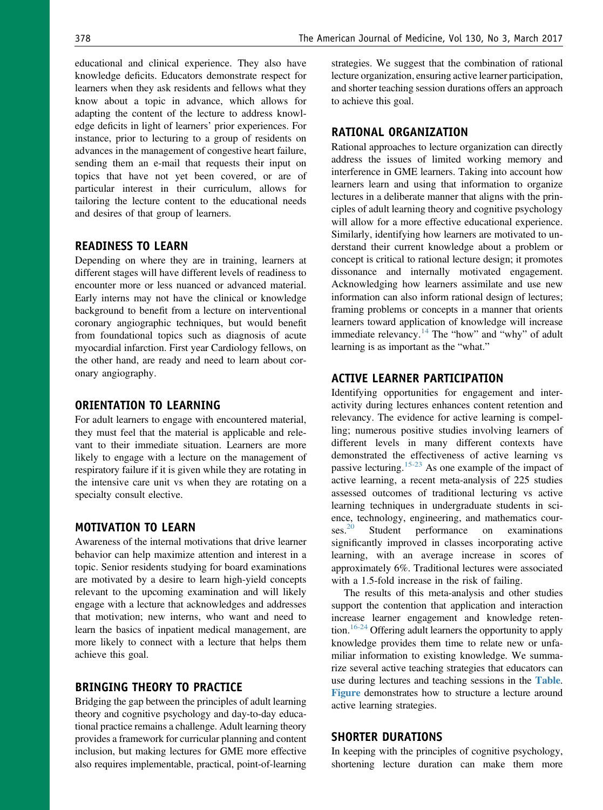educational and clinical experience. They also have knowledge deficits. Educators demonstrate respect for learners when they ask residents and fellows what they know about a topic in advance, which allows for adapting the content of the lecture to address knowledge deficits in light of learners' prior experiences. For instance, prior to lecturing to a group of residents on advances in the management of congestive heart failure, sending them an e-mail that requests their input on topics that have not yet been covered, or are of particular interest in their curriculum, allows for tailoring the lecture content to the educational needs and desires of that group of learners.

## READINESS TO LEARN

Depending on where they are in training, learners at different stages will have different levels of readiness to encounter more or less nuanced or advanced material. Early interns may not have the clinical or knowledge background to benefit from a lecture on interventional coronary angiographic techniques, but would benefit from foundational topics such as diagnosis of acute myocardial infarction. First year Cardiology fellows, on the other hand, are ready and need to learn about coronary angiography.

## ORIENTATION TO LEARNING

For adult learners to engage with encountered material, they must feel that the material is applicable and relevant to their immediate situation. Learners are more likely to engage with a lecture on the management of respiratory failure if it is given while they are rotating in the intensive care unit vs when they are rotating on a specialty consult elective.

### MOTIVATION TO LEARN

Awareness of the internal motivations that drive learner behavior can help maximize attention and interest in a topic. Senior residents studying for board examinations are motivated by a desire to learn high-yield concepts relevant to the upcoming examination and will likely engage with a lecture that acknowledges and addresses that motivation; new interns, who want and need to learn the basics of inpatient medical management, are more likely to connect with a lecture that helps them achieve this goal.

#### BRINGING THEORY TO PRACTICE

Bridging the gap between the principles of adult learning theory and cognitive psychology and day-to-day educational practice remains a challenge. Adult learning theory provides a framework for curricular planning and content inclusion, but making lectures for GME more effective also requires implementable, practical, point-of-learning strategies. We suggest that the combination of rational lecture organization, ensuring active learner participation, and shorter teaching session durations offers an approach to achieve this goal.

#### RATIONAL ORGANIZATION

Rational approaches to lecture organization can directly address the issues of limited working memory and interference in GME learners. Taking into account how learners learn and using that information to organize lectures in a deliberate manner that aligns with the principles of adult learning theory and cognitive psychology will allow for a more effective educational experience. Similarly, identifying how learners are motivated to understand their current knowledge about a problem or concept is critical to rational lecture design; it promotes dissonance and internally motivated engagement. Acknowledging how learners assimilate and use new information can also inform rational design of lectures; framing problems or concepts in a manner that orients learners toward application of knowledge will increase immediate relevancy.<sup>[14](#page-4-0)</sup> The "how" and "why" of adult learning is as important as the "what."

#### ACTIVE LEARNER PARTICIPATION

Identifying opportunities for engagement and interactivity during lectures enhances content retention and relevancy. The evidence for active learning is compelling; numerous positive studies involving learners of different levels in many different contexts have demonstrated the effectiveness of active learning vs passive lecturing.<sup>[15-23](#page-4-0)</sup> As one example of the impact of active learning, a recent meta-analysis of 225 studies assessed outcomes of traditional lecturing vs active learning techniques in undergraduate students in science, technology, engineering, and mathematics cour-<br>ses.<sup>20</sup> Student performance on examinations Student performance on examinations significantly improved in classes incorporating active learning, with an average increase in scores of approximately 6%. Traditional lectures were associated with a 1.5-fold increase in the risk of failing.

The results of this meta-analysis and other studies support the contention that application and interaction increase learner engagement and knowledge retention.<sup>16-24</sup> Offering adult learners the opportunity to apply knowledge provides them time to relate new or unfamiliar information to existing knowledge. We summarize several active teaching strategies that educators can use during lectures and teaching sessions in the [Table](#page-3-0). [Figure](#page-4-0) demonstrates how to structure a lecture around active learning strategies.

#### SHORTER DURATIONS

In keeping with the principles of cognitive psychology, shortening lecture duration can make them more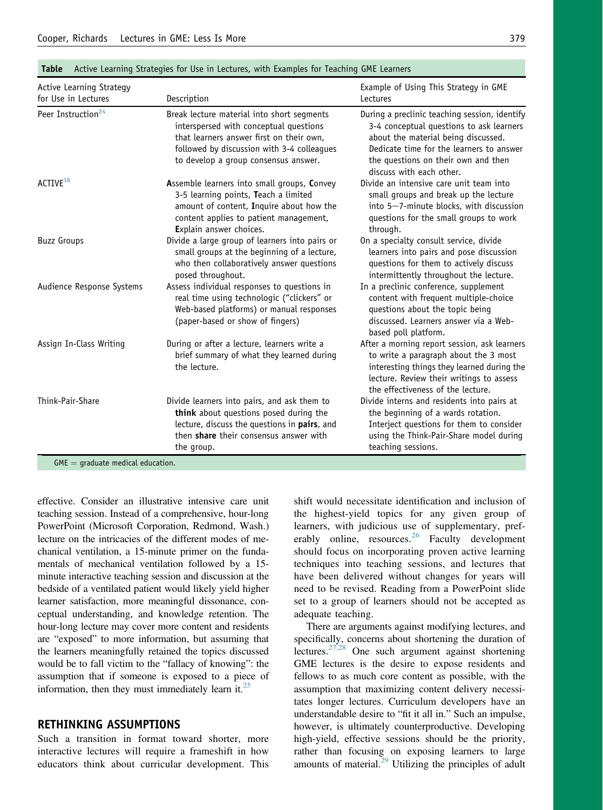| Active Learning Strategy<br>for Use in Lectures | Description                                                                                                                                                                                                            | Example of Using This Strategy in GME<br>Lectures                                                                                                                                                                                               |
|-------------------------------------------------|------------------------------------------------------------------------------------------------------------------------------------------------------------------------------------------------------------------------|-------------------------------------------------------------------------------------------------------------------------------------------------------------------------------------------------------------------------------------------------|
| Peer Instruction <sup>24</sup>                  | Break lecture material into short segments<br>interspersed with conceptual questions<br>that learners answer first on their own,<br>followed by discussion with 3-4 colleagues<br>to develop a group consensus answer. | During a preclinic teaching session, identify<br>3-4 conceptual questions to ask learners<br>about the material being discussed.<br>Dedicate time for the learners to answer<br>the questions on their own and then<br>discuss with each other. |
| ACTIVE <sup>16</sup>                            | Assemble learners into small groups, Convey<br>3-5 learning points, Teach a limited<br>amount of content, Inquire about how the<br>content applies to patient management,<br>Explain answer choices.                   | Divide an intensive care unit team into<br>small groups and break up the lecture<br>into 5-7-minute blocks, with discussion<br>questions for the small groups to work<br>through.                                                               |
| <b>Buzz Groups</b>                              | Divide a large group of learners into pairs or<br>small groups at the beginning of a lecture,<br>who then collaboratively answer questions<br>posed throughout.                                                        | On a specialty consult service, divide<br>learners into pairs and pose discussion<br>questions for them to actively discuss<br>intermittently throughout the lecture.                                                                           |
| Audience Response Systems                       | Assess individual responses to questions in<br>real time using technologic ("clickers" or<br>Web-based platforms) or manual responses<br>(paper-based or show of fingers)                                              | In a preclinic conference, supplement<br>content with frequent multiple-choice<br>questions about the topic being<br>discussed. Learners answer via a Web-<br>based poll platform.                                                              |
| Assign In-Class Writing                         | During or after a lecture, learners write a<br>brief summary of what they learned during<br>the lecture.                                                                                                               | After a morning report session, ask learners<br>to write a paragraph about the 3 most<br>interesting things they learned during the<br>lecture. Review their writings to assess<br>the effectiveness of the lecture.                            |
| Think-Pair-Share                                | Divide learners into pairs, and ask them to<br>think about questions posed during the<br>lecture, discuss the questions in pairs, and<br>then share their consensus answer with<br>the group.                          | Divide interns and residents into pairs at<br>the beginning of a wards rotation.<br>Interject questions for them to consider<br>using the Think-Pair-Share model during<br>teaching sessions.                                                   |

#### <span id="page-3-0"></span>Table Active Learning Strategies for Use in Lectures, with Examples for Teaching GME Learners

effective. Consider an illustrative intensive care unit teaching session. Instead of a comprehensive, hour-long PowerPoint (Microsoft Corporation, Redmond, Wash.) lecture on the intricacies of the different modes of mechanical ventilation, a 15-minute primer on the fundamentals of mechanical ventilation followed by a 15 minute interactive teaching session and discussion at the bedside of a ventilated patient would likely yield higher learner satisfaction, more meaningful dissonance, conceptual understanding, and knowledge retention. The hour-long lecture may cover more content and residents are "exposed" to more information, but assuming that the learners meaningfully retained the topics discussed would be to fall victim to the "fallacy of knowing": the assumption that if someone is exposed to a piece of information, then they must immediately learn it. $^{25}$ 

#### RETHINKING ASSUMPTIONS

Such a transition in format toward shorter, more interactive lectures will require a frameshift in how educators think about curricular development. This shift would necessitate identification and inclusion of the highest-yield topics for any given group of learners, with judicious use of supplementary, pref-erably online, resources.<sup>[26](#page-5-0)</sup> Faculty development should focus on incorporating proven active learning techniques into teaching sessions, and lectures that have been delivered without changes for years will need to be revised. Reading from a PowerPoint slide set to a group of learners should not be accepted as adequate teaching.

There are arguments against modifying lectures, and specifically, concerns about shortening the duration of lectures.<sup>[27,28](#page-5-0)</sup> One such argument against shortening GME lectures is the desire to expose residents and fellows to as much core content as possible, with the assumption that maximizing content delivery necessitates longer lectures. Curriculum developers have an understandable desire to "fit it all in." Such an impulse, however, is ultimately counterproductive. Developing high-yield, effective sessions should be the priority, rather than focusing on exposing learners to large amounts of material. $29$  Utilizing the principles of adult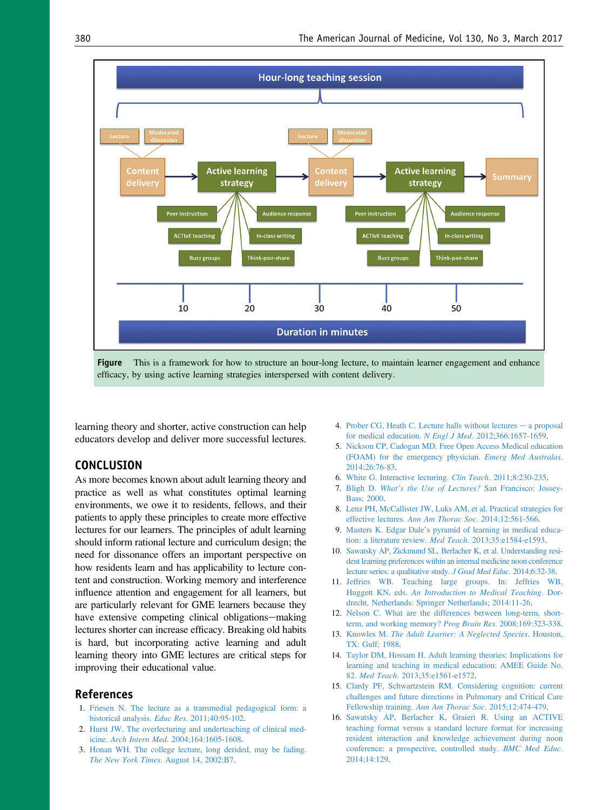<span id="page-4-0"></span>

Figure This is a framework for how to structure an hour-long lecture, to maintain learner engagement and enhance efficacy, by using active learning strategies interspersed with content delivery.

learning theory and shorter, active construction can help educators develop and deliver more successful lectures.

### **CONCLUSION**

As more becomes known about adult learning theory and practice as well as what constitutes optimal learning environments, we owe it to residents, fellows, and their patients to apply these principles to create more effective lectures for our learners. The principles of adult learning should inform rational lecture and curriculum design; the need for dissonance offers an important perspective on how residents learn and has applicability to lecture content and construction. Working memory and interference influence attention and engagement for all learners, but are particularly relevant for GME learners because they have extensive competing clinical obligations-making lectures shorter can increase efficacy. Breaking old habits is hard, but incorporating active learning and adult learning theory into GME lectures are critical steps for improving their educational value.

#### References

- 1. [Friesen N. The lecture as a transmedial pedagogical form: a](http://refhub.elsevier.com/S0002-9343(16)31217-7/sref1) [historical analysis.](http://refhub.elsevier.com/S0002-9343(16)31217-7/sref1) Educ Res. 2011;40:95-102.
- 2. [Hurst JW. The overlecturing and underteaching of clinical med](http://refhub.elsevier.com/S0002-9343(16)31217-7/sref2)icine. Arch Intern Med[. 2004;164:1605-1608.](http://refhub.elsevier.com/S0002-9343(16)31217-7/sref2)
- 3. [Honan WH. The college lecture, long derided, may be fading.](http://refhub.elsevier.com/S0002-9343(16)31217-7/sref3) The New York Times[. August 14, 2002:B7](http://refhub.elsevier.com/S0002-9343(16)31217-7/sref3).
- 4. [Prober CG, Heath C. Lecture halls without lectures](http://refhub.elsevier.com/S0002-9343(16)31217-7/sref4)  $-$  [a proposal](http://refhub.elsevier.com/S0002-9343(16)31217-7/sref4) [for medical education.](http://refhub.elsevier.com/S0002-9343(16)31217-7/sref4) N Engl J Med. 2012;366:1657-1659.
- 5. [Nickson CP, Cadogan MD. Free Open Access Medical education](http://refhub.elsevier.com/S0002-9343(16)31217-7/sref5) [\(FOAM\) for the emergency physician.](http://refhub.elsevier.com/S0002-9343(16)31217-7/sref5) Emerg Med Australas. [2014;26:76-83.](http://refhub.elsevier.com/S0002-9343(16)31217-7/sref5)
- 6. [White G. Interactive lecturing.](http://refhub.elsevier.com/S0002-9343(16)31217-7/sref6) Clin Teach. 2011;8:230-235.
- 7. Bligh D. What'[s the Use of Lectures?](http://refhub.elsevier.com/S0002-9343(16)31217-7/sref7) San Francisco: Jossey-[Bass; 2000](http://refhub.elsevier.com/S0002-9343(16)31217-7/sref7).
- 8. [Lenz PH, McCallister JW, Luks AM, et al. Practical strategies for](http://refhub.elsevier.com/S0002-9343(16)31217-7/sref8) effective lectures. [Ann Am Thorac Soc](http://refhub.elsevier.com/S0002-9343(16)31217-7/sref8). 2014;12:561-566.
- 9. Masters K. Edgar Dale'[s pyramid of learning in medical educa](http://refhub.elsevier.com/S0002-9343(16)31217-7/sref9)[tion: a literature review.](http://refhub.elsevier.com/S0002-9343(16)31217-7/sref9) Med Teach. 2013;35:e1584-e1593.
- 10. [Sawatsky AP, Zickmund SL, Berlacher K, et al. Understanding resi](http://refhub.elsevier.com/S0002-9343(16)31217-7/sref10)[dent learning preferences within an internal medicine noon conference](http://refhub.elsevier.com/S0002-9343(16)31217-7/sref10) [lecture series: a qualitative study.](http://refhub.elsevier.com/S0002-9343(16)31217-7/sref10) J Grad Med Educ. 2014;6:32-38.
- 11. [Jeffries WB. Teaching large groups. In: Jeffries WB,](http://refhub.elsevier.com/S0002-9343(16)31217-7/sref11) Huggett KN, eds. [An Introduction to Medical Teaching](http://refhub.elsevier.com/S0002-9343(16)31217-7/sref11). Dor[drecht, Netherlands: Springer Netherlands; 2014:11-26](http://refhub.elsevier.com/S0002-9343(16)31217-7/sref11).
- 12. [Nelson C. What are the differences between long-term, short](http://refhub.elsevier.com/S0002-9343(16)31217-7/sref12)[term, and working memory?](http://refhub.elsevier.com/S0002-9343(16)31217-7/sref12) Prog Brain Res. 2008;169:323-338.
- 13. Knowles M. [The Adult Learner: A Neglected Species](http://refhub.elsevier.com/S0002-9343(16)31217-7/sref13). Houston, [TX: Gulf; 1988](http://refhub.elsevier.com/S0002-9343(16)31217-7/sref13).
- 14. [Taylor DM, Hossam H. Adult learning theories: Implications for](http://refhub.elsevier.com/S0002-9343(16)31217-7/sref14) [learning and teaching in medical education: AMEE Guide No.](http://refhub.elsevier.com/S0002-9343(16)31217-7/sref14) 82. Med Teach[. 2013;35:e1561-e1572.](http://refhub.elsevier.com/S0002-9343(16)31217-7/sref14)
- 15. [Clardy PF, Schwartzstein RM. Considering cognition: current](http://refhub.elsevier.com/S0002-9343(16)31217-7/sref15) [challenges and future directions in Pulmonary and Critical Care](http://refhub.elsevier.com/S0002-9343(16)31217-7/sref15) Fellowship training. [Ann Am Thorac Soc](http://refhub.elsevier.com/S0002-9343(16)31217-7/sref15). 2015;12:474-479.
- 16. [Sawatsky AP, Berlacher K, Graieri R. Using an ACTIVE](http://refhub.elsevier.com/S0002-9343(16)31217-7/sref16) [teaching format versus a standard lecture format for increasing](http://refhub.elsevier.com/S0002-9343(16)31217-7/sref16) [resident interaction and knowledge achievement during noon](http://refhub.elsevier.com/S0002-9343(16)31217-7/sref16) [conference: a prospective, controlled study.](http://refhub.elsevier.com/S0002-9343(16)31217-7/sref16) BMC Med Educ. [2014;14:129](http://refhub.elsevier.com/S0002-9343(16)31217-7/sref16).